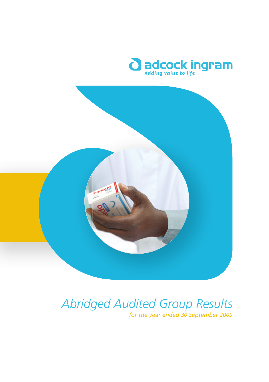



## *Abridged Audited Group Results*

*for the year ended 30 September 2009*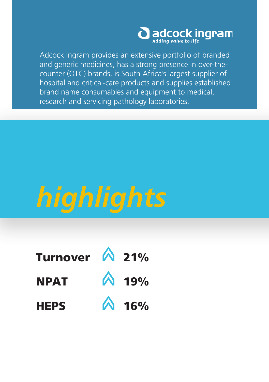

Adcock Ingram provides an extensive portfolio of branded and generic medicines, has a strong presence in over-thecounter (OTC) brands, is South Africa's largest supplier of hospital and critical-care products and supplies established brand name consumables and equipment to medical, research and servicing pathology laboratories.

# *highlights*

| Turnover $\bigwedge$ 21% |              |
|--------------------------|--------------|
| <b>NPAT</b>              | <b>A</b> 19% |
| <b>HEPS</b>              | A 16%        |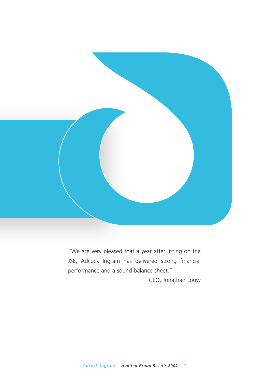

"We are very pleased that a year after listing on the JSE, Adcock Ingram has delivered strong financial performance and a sound balance sheet."

CEO, Jonathan Louw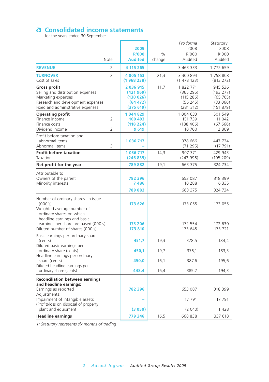## **Consolidated income statements**<br>for the years ended 30 September

|                                                                                                                                                                                                                    |                                  | 2009<br><b>R'000</b>                                      | $\%$         | Pro forma<br>2008<br>R'000                               | Statutory <sup>1</sup><br>2008<br>R'000                 |
|--------------------------------------------------------------------------------------------------------------------------------------------------------------------------------------------------------------------|----------------------------------|-----------------------------------------------------------|--------------|----------------------------------------------------------|---------------------------------------------------------|
|                                                                                                                                                                                                                    | Note                             | <b>Audited</b>                                            | change       | Audited                                                  | Audited                                                 |
| <b>REVENUE</b>                                                                                                                                                                                                     | 2                                | 4 115 265                                                 |              | 3 463 333                                                | 1 772 659                                               |
| <b>TURNOVER</b><br>Cost of sales                                                                                                                                                                                   | $\overline{2}$                   | 4 005 153<br>(1968238)                                    | 21,3         | 3 300 894<br>(1 478 123)                                 | 1 758 808<br>(813 272)                                  |
| <b>Gross profit</b><br>Selling and distribution expenses<br>Marketing expenses<br>Research and development expenses<br>Fixed and administrative expenses                                                           |                                  | 2 036 915<br>(421969)<br>(130026)<br>(64472)<br>(375 619) | 11,7         | 1822771<br>(365 295)<br>(115 286)<br>(56245)<br>(281312) | 945 536<br>(193 277)<br>(65765)<br>(33066)<br>(151 879) |
| <b>Operating profit</b><br>Finance income<br>Finance costs<br>Dividend income                                                                                                                                      | $\overline{2}$<br>$\overline{2}$ | 1044829<br>100 493<br>(118 224)<br>9619                   |              | 1 004 633<br>151 739<br>(188406)<br>10 700               | 501 549<br>11 042<br>(67666)<br>2809                    |
| Profit before taxation and<br>abnormal items<br>Abnormal items                                                                                                                                                     | 3                                | 1 036 717                                                 |              | 978 666<br>(71295)                                       | 447 734<br>(17791)                                      |
| <b>Profit before taxation</b><br>Taxation                                                                                                                                                                          |                                  | 1 036 717<br>(246835)                                     | 14,3         | 907 371<br>(243996)                                      | 429 943<br>(105 209)                                    |
| Net profit for the year                                                                                                                                                                                            |                                  | 789882                                                    | 19,1         | 663 375                                                  | 324 734                                                 |
| Attributable to:<br>Owners of the parent<br>Minority interests                                                                                                                                                     |                                  | 782 396<br>7486<br>789882                                 |              | 653 087<br>10 288<br>663 375                             | 318 399<br>6 3 3 5<br>324 734                           |
| Number of ordinary shares in issue<br>(000's)<br>Weighted average number of<br>ordinary shares on which<br>headline earnings and basic<br>earnings per share are based (000's)<br>Diluted number of shares (000's) |                                  | 173 626<br>173 206<br>173 810                             |              | 173 055<br>172 554<br>173 645                            | 173 055<br>172 630<br>173 721                           |
| Basic earnings per ordinary share<br>(cents)<br>Diluted basic earnings per                                                                                                                                         |                                  | 451,7                                                     | 19,3         | 378,5                                                    | 184,4                                                   |
| ordinary share (cents)<br>Headline earnings per ordinary                                                                                                                                                           |                                  | 450,1                                                     | 19,7         | 376,1                                                    | 183,3                                                   |
| share (cents)<br>Diluted headline earnings per<br>ordinary share (cents)                                                                                                                                           |                                  | 450,0<br>448,4                                            | 16,1<br>16,4 | 387,6<br>385,2                                           | 195,6<br>194,3                                          |
| <b>Reconciliation between earnings</b>                                                                                                                                                                             |                                  |                                                           |              |                                                          |                                                         |
| and headline earnings:<br>Earnings as reported                                                                                                                                                                     |                                  | 782 396                                                   |              | 653 087                                                  | 318 399                                                 |
| Adjustments:<br>Impairment of intangible assets<br>(Profit)/loss on disposal of property,<br>plant and equipment                                                                                                   |                                  | (3050)                                                    |              | 17 791<br>(2 040)                                        | 17 791<br>1 4 2 8                                       |
| <b>Headline earnings</b>                                                                                                                                                                                           |                                  | 779 346                                                   | 16.5         | 668 838                                                  | 337 618                                                 |

*1: Statutory represents six months of trading*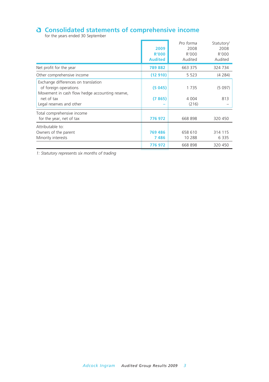## **Consolidated statements of comprehensive income**<br>for the years ended 30 September

|                                                                                                                                                           | 2009<br><b>R'000</b><br><b>Audited</b> | Pro forma<br>2008<br>R'000<br>Audited | Statutory <sup>1</sup><br>2008<br>R'000<br>Audited |
|-----------------------------------------------------------------------------------------------------------------------------------------------------------|----------------------------------------|---------------------------------------|----------------------------------------------------|
| Net profit for the year                                                                                                                                   | 789882                                 | 663 375                               | 324 734                                            |
| Other comprehensive income                                                                                                                                | (12910)                                | 5 5 2 3                               | (4284)                                             |
| Exchange differences on translation<br>of foreign operations<br>Movement in cash flow hedge accounting reserve,<br>net of tax<br>Legal reserves and other | (5045)<br>(7865)                       | 1735<br>4 0 0 4<br>(216)              | (5097)<br>813                                      |
| Total comprehensive income<br>for the year, net of tax                                                                                                    | 776972                                 | 668 898                               | 320 450                                            |
| Attributable to:<br>Owners of the parent<br>Minority interests                                                                                            | 769 486<br>7486                        | 658 610<br>10 288                     | 314 115<br>6 3 3 5                                 |
|                                                                                                                                                           | 776972                                 | 668 898                               | 320 450                                            |

*1: Statutory represents six months of trading*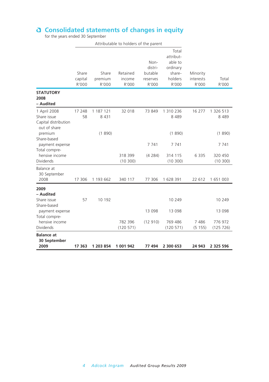#### **Consolidated statements of changes in equity**

for the years ended 30 September

|                                                                        |                           |                           | Attributable to holders of the parent |                                                 |                                                                         |                                |                                |
|------------------------------------------------------------------------|---------------------------|---------------------------|---------------------------------------|-------------------------------------------------|-------------------------------------------------------------------------|--------------------------------|--------------------------------|
|                                                                        | Share<br>capital<br>R'000 | Share<br>premium<br>R'000 | Retained<br>income<br>R'000           | Non-<br>distri-<br>butable<br>reserves<br>R'000 | Total<br>attribut-<br>able to<br>ordinary<br>share-<br>holders<br>R'000 | Minority<br>interests<br>R'000 | Total<br>R'000                 |
| <b>STATUTORY</b><br>2008<br>– Audited                                  |                           |                           |                                       |                                                 |                                                                         |                                |                                |
| 1 April 2008<br>Share issue<br>Capital distribution<br>out of share    | 17 248<br>58              | 1 187 121<br>8 4 3 1      | 32 018                                | 73 849                                          | 1 310 236<br>8 4 8 9                                                    | 16 277                         | 1 326 513<br>8489              |
| premium<br>Share-based<br>payment expense<br>Total compre-             |                           | (1890)                    |                                       | 7 7 4 1                                         | (1890)<br>7 741                                                         |                                | (1890)<br>7 741                |
| hensive income<br><b>Dividends</b>                                     |                           |                           | 318 399<br>(10300)                    | (4 284)                                         | 314 115<br>(10300)                                                      | 6 3 3 5                        | 320 450<br>(10300)             |
| Balance at<br>30 September<br>2008                                     | 17 306                    | 1 193 662                 | 340 117                               | 77 306                                          | 1 628 391                                                               | 22 612                         | 1 651 003                      |
| 2009                                                                   |                           |                           |                                       |                                                 |                                                                         |                                |                                |
| - Audited<br>Share issue<br>Share-based                                | 57                        | 10 192                    |                                       |                                                 | 10 249                                                                  |                                | 10 249                         |
| payment expense<br>Total compre-<br>hensive income<br><b>Dividends</b> |                           |                           | 782 396<br>(120 571)                  | 13 098<br>(12910)                               | 13 098<br>769 486<br>(120 571)                                          | 7 4 8 6<br>(5 155)             | 13 098<br>776 972<br>(125 726) |
| <b>Balance at</b><br>30 September<br>2009                              | 17 363                    | 1 203 854                 | 1 001 942                             | 77 494                                          | 2 300 653                                                               | 24 943                         | 2 325 596                      |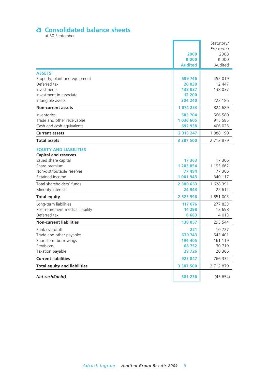## **Consolidated balance sheets**<br>at 30 September

| Net cash/(debt)                                            | 381 236             | (43654)            |
|------------------------------------------------------------|---------------------|--------------------|
| <b>Total equity and liabilities</b>                        | 3 387 500           | 2 712 879          |
| <b>Current liabilities</b>                                 | 923 847             | 766 332            |
| Taxation payable                                           | 29 7 26             | 20 366             |
| Provisions                                                 | 68752               | 30 719             |
| Short-term borrowings                                      | 194 405             | 161 119            |
| Bank overdraft<br>Trade and other payables                 | 221<br>630 743      | 10727<br>543 401   |
|                                                            |                     |                    |
| <b>Non-current liabilities</b>                             | 138 057             | 295 544            |
| Deferred tax                                               | 6683                | 4 0 1 3            |
| Long-term liabilities<br>Post-retirement medical liability | 117 076<br>14 298   | 277 833<br>13 698  |
|                                                            |                     |                    |
| <b>Total equity</b>                                        | 2 3 2 5 5 9 6       | 1 651 003          |
| Minority interests                                         | 24 943              | 22 612             |
| Total shareholders' funds                                  | 2 300 653           | 1 628 391          |
| Non-distributable reserves<br>Retained income              | 77 494<br>1 001 943 | 77 306<br>340 117  |
| Share premium                                              | 1 203 854           | 1 193 662          |
| Issued share capital                                       | 17 363              | 17 306             |
| <b>Capital and reserves</b>                                |                     |                    |
| <b>EQUITY AND LIABILITIES</b>                              |                     |                    |
| <b>Total assets</b>                                        | 3 387 500           | 2 712 879          |
| <b>Current assets</b>                                      | 2 3 1 3 2 4 7       | 1888 190           |
|                                                            |                     |                    |
| Trade and other receivables<br>Cash and cash equivalents   | 1036 605<br>692 938 | 915 585<br>406 025 |
| Inventories                                                | 583 704             | 566 580            |
| <b>Non-current assets</b>                                  | 1 074 253           | 824 689            |
| Intangible assets                                          | 304 240             | 222 186            |
| Investment in associate                                    | 12 200              |                    |
| Investments                                                | 138 037             | 138 037            |
| Deferred tax                                               | 20 030              | 12 447             |
| Property, plant and equipment                              | 599 746             | 452 019            |
| <b>ASSETS</b>                                              |                     |                    |
|                                                            | <b>Audited</b>      | Audited            |
|                                                            | <b>R'000</b>        | R'000              |
|                                                            | 2009                | Pro forma<br>2008  |
|                                                            |                     | Statutory/         |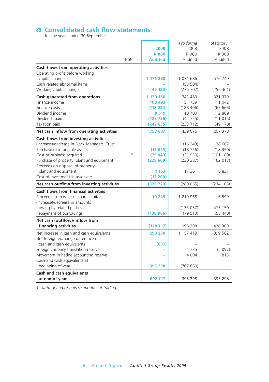## **Consolidated cash flow statements**<br>for the years ended 30 September

| Cash and cash equivalents<br>at end of year                                  | 692 717             | 395 298           | 395 298                |
|------------------------------------------------------------------------------|---------------------|-------------------|------------------------|
| beginning of year                                                            | 395 298             | (767 860)         |                        |
| Cash and cash equivalents at                                                 |                     |                   |                        |
| Foreign currency translation reserve<br>Movement in hedge accounting reserve |                     | 4 0 0 4           | (5097)<br>813          |
| cash and cash equivalents                                                    | (831)               | 1735              |                        |
| Net foreign exchange difference on                                           |                     |                   |                        |
| Net increase in cash and cash equivalents                                    | 298 250             | 1 157 419         | 399 582                |
| Net cash (outflow)/inflow from<br>financing activities                       | (128717)            | 998 398           | 426 309                |
| Repayment of borrowings                                                      | (138966)            | (79513)           | (55 440)               |
| owing by related parties                                                     |                     | (133057)          | 475 150                |
| (Increase)/decrease in amounts                                               |                     |                   |                        |
| Proceeds from issue of share capital                                         | 10 249              | 1 210 968         | 6 5 9 9                |
| <b>Cash flows from financial activities</b>                                  |                     |                   |                        |
| Net cash outflow from investing activities                                   | (326 720)           | (280055)          | (234 105)              |
| plant and equipment<br>Cost of investment in associate                       | 4 1 6 3<br>(12 200) | 17 361            | 8831                   |
| Proceeds on disposal of property,                                            |                     |                   |                        |
| Purchase of property, plant and equipment                                    | (228609)            | (230 387)         | (162 013)              |
| Cost of business acquired<br>5                                               | (79049)             | (31930)           | (101180)               |
| Purchase of intangible assets                                                | (11025)             | (18756)           | (18350)                |
| (Increase)/decrease in Black Managers' Trust                                 |                     | (16343)           | 38 607                 |
| Cash flows from investing activities                                         |                     |                   |                        |
| Net cash inflow from operating activities                                    | 753 687             | 439 076           | 207 378                |
| Taxation paid                                                                | (242635)            | (233 712)         | (49 170)               |
| Dividend income<br>Dividends paid                                            | 9619<br>(125726)    | 10 700<br>(42725) | 2 8 0 9<br>(11016)     |
| Finance costs                                                                | (118 224)           | (188406)          | (67666)                |
| Finance income                                                               | 100 493             | 151 739           | 11 042                 |
| Cash generated from operations                                               | 1 130 160           | 741 480           | 321 379                |
| Working capital changes                                                      | (46120)             | (276 702)         | (255 361)              |
| Cash related abnormal items                                                  |                     | (53 504)          |                        |
| Operating profit before working<br>capital changes                           | 1 176 280           | 1 071 686         | 576 740                |
| Cash flows from operating activities                                         |                     |                   |                        |
| Note                                                                         | <b>Audited</b>      | Audited           | Audited                |
|                                                                              | <b>R'000</b>        | R'000             | R'000                  |
|                                                                              | 2009                | 2008              | 2008                   |
|                                                                              |                     | Pro forma         | Statutory <sup>1</sup> |

*1: Statutory represents six months of trading.*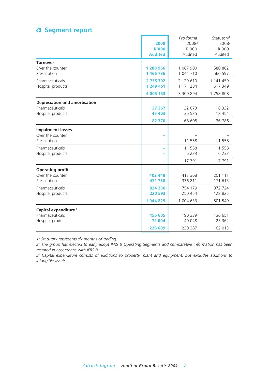#### **Segment report**

|                                      | 2009<br><b>R'000</b><br><b>Audited</b> | Pro forma<br>2008 <sup>2</sup><br>R'000<br>Audited | Statutory <sup>1</sup><br>2008 <sup>2</sup><br>R'000<br>Audited |
|--------------------------------------|----------------------------------------|----------------------------------------------------|-----------------------------------------------------------------|
| <b>Turnover</b><br>Over the counter  | 1 288 966                              | 1 087 900                                          | 580 862                                                         |
| Prescription                         | 1 466 736                              | 1 041 710                                          | 560 597                                                         |
| Pharmaceuticals<br>Hospital products | 2755702<br>1 249 451                   | 2 129 610<br>1 171 284                             | 1 141 459<br>617 349                                            |
|                                      | 4 005 153                              | 3 300 894                                          | 1758808                                                         |
| Depreciation and amortisation        |                                        |                                                    |                                                                 |
| Pharmaceuticals<br>Hospital products | 37 367<br>45 403                       | 32 073<br>36 535                                   | 18 3 3 2<br>18 454                                              |
|                                      | 82770                                  | 68 608                                             | 36 786                                                          |
| <b>Impairment losses</b>             |                                        |                                                    |                                                                 |
| Over the counter<br>Prescription     |                                        | 11 558                                             | 11 558                                                          |
| Pharmaceuticals<br>Hospital products |                                        | 11 558<br>6 2 3 3                                  | 11 558<br>6 2 3 3                                               |
|                                      |                                        | 17 791                                             | 17 791                                                          |
| <b>Operating profit</b>              |                                        |                                                    |                                                                 |
| Over the counter<br>Prescription     | 402 448<br>421 788                     | 417 368<br>336 811                                 | 201 111<br>171 613                                              |
| Pharmaceuticals<br>Hospital products | 824 236<br>220 593                     | 754 179<br>250 454                                 | 372 724<br>128 825                                              |
|                                      | 1044829                                | 1 004 633                                          | 501 549                                                         |
| Capital expenditure <sup>3</sup>     |                                        |                                                    |                                                                 |
| Pharmaceuticals<br>Hospital products | 156 605<br>72 004                      | 190 339<br>40 048                                  | 136 651<br>25 362                                               |
|                                      | 228 609                                | 230 387                                            | 162 013                                                         |

*1: Statutory represents six months of trading.*

*2: The group has elected to early adopt IFRS 8 Operating Segments and comparative information has been restated in accordance with IFRS 8.*

*3: Capital expenditure consists of additions to property, plant and equipment, but excludes additions to intangible assets.*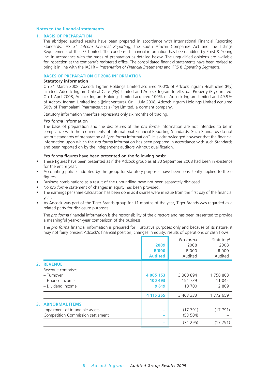#### **Notes to the financial statements**

#### **1. BASIS OF PREPARATION**

 The abridged audited results have been prepared in accordance with International Financial Reporting Standards, IAS 34 *Interim Financial Reporting*, the South African Companies Act and the Listings Requirements of the JSE Limited. The condensed financial information has been audited by Ernst & Young Inc. in accordance with the bases of preparation as detailed below. The unqualified opinions are available for inspection at the company's registered office. The consolidated financial statements have been revised to bring it in line with the IAS1R – *Presentation of Financial Statements* and IFRS 8 *Operating Segments*.

#### **BASES OF PREPARATION OF 2008 INFORMATION**

#### **Statutory information**

 On 31 March 2008, Adcock Ingram Holdings Limited acquired 100% of Adcock Ingram Healthcare (Pty) Limited, Adcock Ingram Critical Care (Pty) Limited and Adcock Ingram Intellectual Property (Pty) Limited. On 1 April 2008, Adcock Ingram Holdings Limited acquired 100% of Adcock Ingram Limited and 49,9% of Adcock Ingram Limited India (joint venture). On 1 July 2008, Adcock Ingram Holdings Limited acquired 50% of Thembalami Pharmaceuticals (Pty) Limited, a dormant company.

Statutory information therefore represents only six months of trading.

#### *Pro forma* information

 The basis of preparation and the disclosures of the *pro forma* information are not intended to be in compliance with the requirements of International Financial Reporting Standards. Such Standards do not set out standards of preparation of "*pro forma* information". It is acknowledged however that the financial information upon which the *pro forma* information has been prepared in accordance with such Standards and been reported on by the independent auditors without qualification.

#### *Pro forma* figures have been presented on the following basis:

- These figures have been presented as if the Adcock group as at 30 September 2008 had been in existence for the entire year.
- Accounting policies adopted by the group for statutory purposes have been consistently applied to these figures.
- Business combinations as a result of the unbundling have not been separately disclosed.
- No *pro forma* statement of changes in equity has been provided.
- The earnings per share calculation has been done as if shares were in issue from the first day of the financial year.
- As Adcock was part of the Tiger Brands group for 11 months of the year, Tiger Brands was regarded as a related party for disclosure purposes.

The *pro forma* financial information is the responsibility of the directors and has been presented to provide a meaningful year-on-year comparison of the business.

 The *pro forma* financial information is prepared for illustrative purposes only and because of its nature, it may not fairly present Adcock's financial position, changes in equity, results of operations or cash flows.

|    |                                   | 2009<br><b>R'000</b><br><b>Audited</b> | Pro forma<br>2008<br>R'000<br>Audited | Statutory <sup>1</sup><br>2008<br>R'000<br>Audited |
|----|-----------------------------------|----------------------------------------|---------------------------------------|----------------------------------------------------|
| 2. | <b>REVENUE</b>                    |                                        |                                       |                                                    |
|    | Revenue comprises                 |                                        |                                       |                                                    |
|    | - Turnover                        | 4 005 153                              | 3 300 894                             | 1758808                                            |
|    | - Finance income                  | 100 493                                | 151 739                               | 11 042                                             |
|    | - Dividend income                 | 9619                                   | 10 700                                | 2809                                               |
|    |                                   | 4 115 265                              | 3 463 333                             | 1 772 659                                          |
| 3. | <b>ABNORMAL ITEMS</b>             |                                        |                                       |                                                    |
|    | Impairment of intangible assets   |                                        | (17791)                               | (17791)                                            |
|    | Competition Commission settlement |                                        | (53 504)                              |                                                    |
|    |                                   |                                        | (71295)                               | (17791)                                            |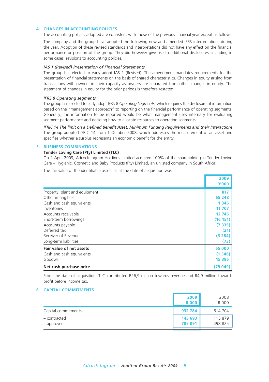#### **4. CHANGES IN ACCOUNTING POLICIES**

The accounting policies adopted are consistent with those of the previous financial year except as follows:

 The company and the group have adopted the following new and amended IFRS interpretations during the year. Adoption of these revised standards and interpretations did not have any effect on the financial performance or position of the group. They did however give rise to additional disclosures, including in some cases, revisions to accounting policies.

#### *IAS 1 (Revised) Presentation of Financial Statements*

 The group has elected to early adopt IAS 1 (Revised). The amendment mandates requirements for the presentation of financial statements on the basis of shared characteristics. Changes in equity arising from transactions with owners in their capacity as owners are separated from other changes in equity. The statement of changes in equity for the prior periods is therefore restated.

#### *IFRS 8 Operating segments*

 The group has elected to early adopt IFRS 8 *Operating Segments*, which requires the disclosure of information based on the "management approach" to reporting on the financial performance of operating segments. Generally, the information to be reported would be what management uses internally for evaluating segment performance and deciding how to allocate resources to operating segments.

*IFRIC 14 The limit on a Defined Benefit Asset, Minimum Funding Requirements and their Interactions* The group adopted IFRIC 14 from 1 October 2008, which addresses the measurement of an asset and specifies whether a surplus represents an economic benefit for the entity.

#### **5. BUSINESS COMBINATIONS**

#### **Tender Loving Care (Pty) Limited (TLC)**

 On 2 April 2009, Adcock Ingram Holdings Limited acquired 100% of the shareholding in Tender Loving Care – Hygienic, Cosmetic and Baby Products (Pty) Limited, an unlisted company in South Africa.

The fair value of the identifiable assets as at the date of acquisition was:

|                               | 2009<br><b>R'000</b> |
|-------------------------------|----------------------|
| Property, plant and equipment | 817                  |
| Other intangibles             | 65 248               |
| Cash and cash equivalents     | 1 3 4 6              |
| Inventories                   | 11 707               |
| Accounts receivable           | 12 746               |
| Short-term borrowings         | (16 151)             |
| Accounts payable              | (7335)               |
| Deferred tax                  | (21)                 |
| Receiver of Revenue           | (3284)               |
| Long-term liabilities         | (73)                 |
| Fair value of net assets      | 65 000               |
| Cash and cash equivalents     | (1346)               |
| Goodwill                      | 15 3 95              |
| Net cash purchase price       | (79049)              |

 From the date of acquisition, TLC contributed R26,9 million towards revenue and R4,9 million towards profit before income tax.

#### **6. CAPITAL COMMITMENTS**

|                            | 2009<br><b>R'000</b> | 2008<br>R'000      |
|----------------------------|----------------------|--------------------|
| Capital commitments        | 932 784              | 614 704            |
| - contracted<br>– approved | 143 693<br>789 091   | 115 879<br>498 825 |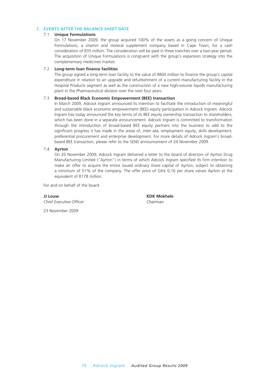#### **7. EVENTS AFTER THE BALANCE SHEET DATE**

#### 7.1 **Unique Formulations**

 On 17 November 2009, the group acquired 100% of the assets as a going concern of Unique Formulations, a vitamin and mineral supplement company based in Cape Town, for a cash consideration of R35 million. The consideration will be paid in three tranches over a two-year period. The acquisition of Unique Formulations is congruent with the group's expansion strategy into the complementary medicines market.

#### 7.2 **Long-term loan finance facilities**

 The group signed a long-term loan facility to the value of R800 million to finance the group's capital expenditure in relation to an upgrade and refurbishment of a current manufacturing facility in the Hospital Products segment as well as the construction of a new high-volume liquids manufacturing plant in the Pharmaceutical division over the next four years.

#### 7.3 **Broad-based Black Economic Empowerment (BEE) transaction**

 In March 2009, Adcock Ingram announced its intention to facilitate the introduction of meaningful and sustainable black economic empowerment (BEE) equity participation in Adcock Ingram. Adcock Ingram has today announced the key terms of its BEE equity ownership transaction to shareholders, which has been done in a separate announcement. Adcock Ingram is committed to transformation through the introduction of broad-based BEE equity partners into the business to add to the significant progress it has made in the areas of, *inter alia*, employment equity, skills development, preferential procurement and enterprise development. For more details of Adcock Ingram's broadbased BEE transaction, please refer to the SENS announcement of 24 November 2009.

#### 7.4 **Ayrton**

 On 20 November 2009, Adcock Ingram delivered a letter to the board of directors of Ayrton Drug Manufacturing Limited ("Ayrton") in terms of which Adcock Ingram specified its firm intention to make an offer to acquire the entire issued ordinary share capital of Ayrton, subject to obtaining a minimum of 51% of the company. The offer price of GH¢ 0,16 per share values Ayrton at the equivalent of R178 million.

For and on behalf of the board

**JJ Louw KDK Mokhele**<br> *Chief Executive Officer* (*Chairman <i>Chief Executive Officer* 

23 November 2009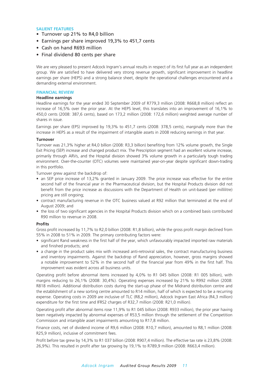#### **SALIENT FEATURES**

- Turnover up 21% to R4,0 billion
- Earnings per share improved 19,3% to 451,7 cents
- Cash on hand R693 million
- Final dividend 80 cents per share

We are very pleased to present Adcock Ingram's annual results in respect of its first full year as an independent group. We are satisfied to have delivered very strong revenue growth, significant improvement in headline earnings per share (HEPS) and a strong balance sheet, despite the operational challenges encountered and a demanding external environment.

#### **FINANCIAL REVIEW**

#### **Headline earnings**

Headline earnings for the year ended 30 September 2009 of R779,3 million (2008: R668,8 million) reflect an increase of 16,5% over the prior year. At the HEPS level, this translates into an improvement of 16,1% to 450,0 cents (2008: 387,6 cents), based on 173,2 million (2008: 172,6 million) weighted average number of shares in issue.

Earnings per share (EPS) improved by 19,3% to 451,7 cents (2008: 378,5 cents), marginally more than the increase in HEPS as a result of the impairment of intangible assets in 2008 reducing earnings in that year.

#### **Turnover**

Turnover was 21,3% higher at R4,0 billion (2008: R3,3 billion) benefiting from 12% volume growth, the Single Exit Pricing (SEP) increase and changed product mix. The Prescription segment had an excellent volume increase, primarily through ARVs, and the Hospital division showed 3% volume growth in a particularly tough trading environment. Over-the-counter (OTC) volumes were maintained year-on-year despite significant down-trading in this portfolio.

Turnover grew against the backdrop of:

- an SEP price increase of 13,2% granted in January 2009. The price increase was effective for the entire second half of the financial year in the Pharmaceutical division, but the Hospital Products division did not benefit from the price increase as discussions with the Department of Health on unit-based (per millilitre) pricing are still ongoing;
- contract manufacturing revenue in the OTC business valued at R92 million that terminated at the end of August 2009; and
- the loss of two significant agencies in the Hospital Products division which on a combined basis contributed R90 million to revenue in 2008.

#### **Profits**

Gross profit increased by 11,7% to R2,0 billion (2008: R1,8 billion), while the gross profit margin declined from 55% in 2008 to 51% in 2009. The primary contributing factors were:

- significant Rand weakness in the first half of the year, which unfavourably impacted imported raw materials and finished products; and
- a change in the product sales mix with increased anti-retroviral sales, the contract manufacturing business and inventory impairments. Against the backdrop of Rand appreciation, however, gross margins showed a notable improvement to 52% in the second half of the financial year from 49% in the first half. This improvement was evident across all business units.

Operating profit before abnormal items increased by 4,0% to R1 045 billion (2008: R1 005 billion), with margins reducing to 26,1% (2008: 30,4%). Operating expenses increased by 21% to R992 million (2008: R818 million). Additional distribution costs during the start-up phase of the Midrand distribution centre and the establishment of a new sorting centre amounted to R14 million, half of which is expected to be a recurring expense. Operating costs in 2009 are inclusive of TLC (R8,2 million), Adcock Ingram East Africa (R4,3 million) expenditure for the first time and IFRS2 charges of R32,7 million (2008: R21,0 million).

Operating profit after abnormal items rose 11,9% to R1 045 billion (2008: R933 million), the prior year having been negatively impacted by abnormal expenses of R53,5 million through the settlement of the Competition Commission and intangible asset impairments amounting to R17,8 million.

Finance costs, net of dividend income of R9,6 million (2008: R10,7 million), amounted to R8,1 million (2008: R25,9 million), inclusive of commitment fees.

Profit before tax grew by 14,3% to R1 037 billion (2008: R907,4 million). The effective tax rate is 23,8% (2008: 26,9%). This resulted in profit after tax growing by 19,1% to R789,9 million (2008: R663,4 million).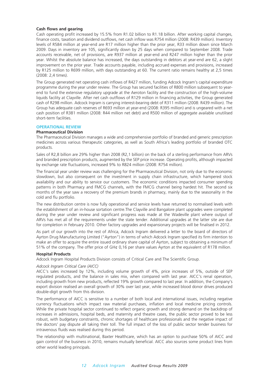#### **Cash flows and gearing**

Cash operating profit increased by 15.5% from R1.02 billion to R1.18 billion. After working capital changes, finance costs, taxation and dividend outflows, net cash inflow was R754 million (2008: R439 million). Inventory levels of R584 million at year-end are R17 million higher than the prior year, R33 million down since March 2009. Days in inventory are 105, significantly down by 25 days when compared to September 2008. Trade accounts receivable, net of provisions, are R937 million at year-end and R247 million higher than the prior year. Whilst the absolute balance has increased, the days outstanding in debtors at year-end are 62, a slight improvement on the prior year. Trade accounts payable, including accrued expenses and provisions, increased by R125 million to R699 million, with days outstanding at 60. The current ratio remains healthy at 2,5 times (2008: 2,4 times).

The Group generated net operating cash inflows of R427 million, funding Adcock Ingram's capital expenditure programme during the year under review. The Group has secured facilities of R800 million subsequent to yearend to fund the extensive regulatory upgrade at the Aeroton facility and the construction of the high-volume liquids facility at Clayville. After net cash outflows of R129 million in financing activities, the Group generated cash of R298 million. Adcock Ingram is carrying interest-bearing debt of R311 million (2008: R439 million). The Group has adequate cash reserves of R693 million at year-end (2008: R395 million) and is ungeared with a net cash position of R381 million (2008: R44 million net debt) and R500 million of aggregate available unutilised short-term facilities.

#### **OPERATIONAL REVIEW**

#### **Pharmaceutical Division**

The Pharmaceutical Division manages a wide and comprehensive portfolio of branded and generic prescription medicines across various therapeutic categories, as well as South Africa's leading portfolio of branded OTC products.

Sales of R2,8 billion are 29% higher than 2008 (R2,1 billion) on the back of a sterling performance from ARVs and branded prescription products, augmented by the SEP price increase. Operating profits, although impacted by exchange rate fluctuations, increased 9% to R824 million (2008: R754 million).

The financial year under review was challenging for the Pharmaceutical Division, not only due to the economic slowdown, but also consequent on the investment in supply chain infrastructure, which hampered stock availability and our ability to service our customers. The economic conditions impacted consumer spending patterns in both Pharmacy and FMCG channels, with the FMCG channel being hardest hit. The second six months of the year saw a recovery of the premium brands in pharmacy, mainly due to the seasonality in the cold and flu portfolio.

The new distribution centre is now fully operational and service levels have returned to normalised levels with the establishment of an in-house sortation centre.The Clayville and Bangalore plant upgrades were completed during the year under review and significant progress was made at the Wadeville plant where output of ARVs has met all of the requirements under the state tender. Additional upgrades at the latter site are due for completion in February 2010. Other factory upgrades and expansionary projects will be finalised in 2012.

As part of our growth into the rest of Africa, Adcock Ingram delivered a letter to the board of directors of Ayrton Drug Manufacturing Limited ("Ayrton") in terms of which Adcock Ingram specified its firm intention to make an offer to acquire the entire issued ordinary share capital of Ayrton, subject to obtaining a minimum of 51% of the company. The offer price of GH¢ 0,16 per share values Ayrton at the equivalent of R178 million.

#### **Hospital Products**

Adcock Ingram Hospital Products Division consists of Critical Care and The Scientific Group.

#### *Adcock Ingram Critical Care (AICC)*

AICC's sales increased by 12%, including volume growth of 4%, price increases of 5%, outside of SEP regulated products, and the balance in sales mix, when compared with last year. AICC's renal operation, including growth from new products, reflected 19% growth compared to last year. In addition, the Company's export division realised an overall growth of 30% over last year, while increased blood donor drives produced double-digit growth from this division.

The performance of AICC is sensitive to a number of both local and international issues, including negative currency fluctuations which impact raw material purchases, inflation and local medicine pricing controls. While the private hospital sector continued to reflect organic growth and strong demand on the backdrop of increases in admissions, hospital beds, and maternity and theatre cases, the public sector proved to be less robust, with budgetary constraints, chronic shortages of healthcare professionals and the negative impact of the doctors' pay dispute all taking their toll. The full impact of the loss of public sector tender business for intravenous fluids was realised during this period.

The relationship with multinational, Baxter Healthcare, which has an option to purchase 50% of AICC and gain control of the business in 2010, remains mutually beneficial. AICC also sources some product lines from other world leading principals.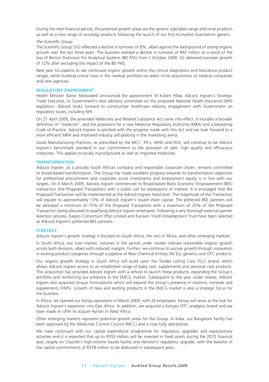During the next financial period, the potential growth areas are the generic injectable range and renal products as well as a new range of oncology products following the launch of our first-to-market Granisetron generic.

#### *The Scientific Group*

The Scientific Group (SG) reflected a decline in turnover of 8%, albeit against the background of strong organic growth over the last three years. The business realised a decline in turnover of R62 million as a result of the loss of Becton Dickinson Pre Analytical Systems (BD PAS) from 1 October 2008. SG delivered turnover growth of 12% after excluding the impact of the BD PAS.

Next year SG expects to see continued organic growth within the clinical diagnostics and bioscience product ranges, while building critical mass in the medical portfolio via select niche acquisitions of medical companies and new agencies.

#### **REGULATORY ENVIRONMENT**

Health Minister Aaron Motsoaledi announced the appointment of Kuben Pillay, Adcock Ingram's Strategic Trade Executive, to Government's new advisory committee on the proposed National Health Insurance (NHI) legislation. Adcock looks forward to constructive healthcare industry engagement with Government on regulatory issues, including NHI.

On 21 April 2009, the amended Medicines and Related Substance Act came into effect. It includes a broader definition of "medicine", and the provisions for a new Medicine Regulatory Authority (MRA) and a Marketing Code of Practice. Adcock Ingram is satisfied with the progress made with this Act and we look forward to a more efficient MRA and improved industry self-policing in the marketing arena.

Good Manufacturing Practices, as prescribed by the MCC, PICs, WHO and FDA, will continue to be Adcock Ingram's benchmark standard in our commitment to the provision of safe, high quality and efficacious medicines. This applies to locally manufactured as well as imported medicines.

#### **TRANSFORMATION**

Adcock Ingram, as a proudly South African company and responsible corporate citizen, remains committed to broad based transformation. The Group has made excellent progress towards its transformation objectives for preferential procurement and corporate social investments and employment equity is in line with our targets. On 6 March 2009, Adcock Ingram commenced its Broad-based Black Economic Empowerment (BEE) transaction (the Proposed Transaction) with a public call for expressions of interest. It is envisaged that the Proposed Transaction will be implemented at the Adcock Ingram listed level. The magnitude of the Transaction will equate to approximately 13% of Adcock Ingram's issued share capital. The preferred BEE partners will be allocated a minimum of 75% of the Proposed Transaction with a maximum of 25% of the Proposed Transaction being allocated to qualifying Adcock Ingram employees. Following a very thorough external partner selection process, Kagiso Consortium (Pty) Limited and Kurisani Youth Development Trust have been selected as Adcock Ingram's preferred BEE partners.

#### **STRATEGY**

Adcock Ingram's growth strategy is focused on South Africa, the rest of Africa, and other emerging markets.

In South Africa, our core market, volumes in the period under review indicate reasonable organic growth across both divisions, albeit with reduced margins. Further, we continue to pursue growth through innovation in existing product categories through a pipeline of New Chemical Entities (NCEs), generics and OTC products.

Our organic growth strategy in South Africa will build upon the Tender Loving Care (TLC) brand, which allows Adcock Ingram access to an established range of baby care, supplements and personal care products. This acquisition has provided Adcock Ingram with a vehicle to launch these products, expanding the Group's portfolio and reinforcing our presence in the FMCG market. Subsequent to the year under review, Adcock Ingram also acquired Unique Formulations which will expand the Group's presence in vitamins, minerals and supplements (VMS). Growth of new and existing products in the FMCG market is also a strategic focus for the business.

In Africa, we opened our Kenya operations in March 2009, with 24 employees. Kenya will serve as the hub for Adcock Ingram's expansion into East Africa. In addition, we acquired a Kenyan OTC analgesic brand and we have made an offer to acquire Ayrton in West Africa.

Other emerging markets represent potential growth areas for the Group. In India, our Bangalore facility has been approved by the Medicines Control Council (MCC) and is now fully operational.

We have continued with our capital expenditure programme for regulatory upgrades and expansionary activities and it is expected that up to R555 million will be invested in fixed assets during the 2010 financial year, largely on Clayville's high-volume liquids facility and Aeroton's regulatory upgrade, with the balance of the capital commitments of R378 million to be disbursed in subsequent years.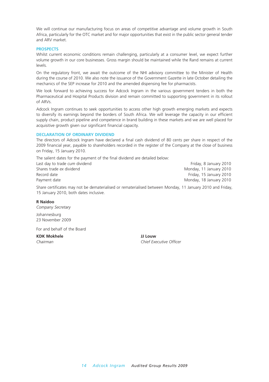We will continue our manufacturing focus on areas of competitive advantage and volume growth in South Africa, particularly for the OTC market and for major opportunities that exist in the public sector general tender and ARV market.

#### **PROSPECTS**

Whilst current economic conditions remain challenging, particularly at a consumer level, we expect further volume growth in our core businesses. Gross margin should be maintained while the Rand remains at current levels.

On the regulatory front, we await the outcome of the NHI advisory committee to the Minister of Health during the course of 2010. We also note the issuance of the Government Gazette in late October detailing the mechanics of the SEP increase for 2010 and the amended dispensing fee for pharmacists.

We look forward to achieving success for Adcock Ingram in the various government tenders in both the Pharmaceutical and Hospital Products division and remain committed to supporting government in its rollout of ARVs.

Adcock Ingram continues to seek opportunities to access other high growth emerging markets and expects to diversify its earnings beyond the borders of South Africa. We will leverage the capacity in our efficient supply chain, product pipeline and competence in brand building in these markets and we are well placed for acquisitive growth given our significant financial capacity.

#### **DECLARATION OF ORDINARY DIVIDEND**

The directors of Adcock Ingram have declared a final cash dividend of 80 cents per share in respect of the 2009 financial year, payable to shareholders recorded in the register of the Company at the close of business on Friday, 15 January 2010.

The salient dates for the payment of the final dividend are detailed below: Last day to trade *cum* dividend **Friday**, 8 January 2010 Shares trade ex dividend Monday, 11 January 2010 Record date **Friday, 15 January 2010**<br> **Rayment date** Friday, 15 January 2010<br> **Rayment date Friday, 18 January 2010** Monday, 18 January 2010

Share certificates may not be dematerialised or rematerialised between Monday, 11 January 2010 and Friday, 15 January 2010, both dates inclusive.

#### **R Naidoo**

*Company Secretary*

Johannesburg 23 November 2009

For and behalf of the Board

**KDK Mokhele** JJ Louw

*Chairman Chief Executive Officer*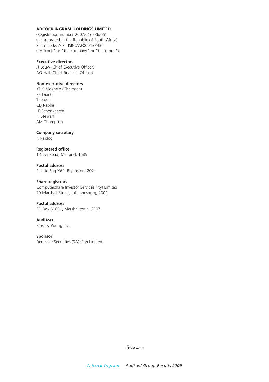#### **ADCOCK INGRAM HOLDINGS LIMITED**

(Registration number 2007/016236/06) (Incorporated in the Republic of South Africa) Share code: AIP ISIN:ZAE000123436 ("Adcock" or "the company" or "the group")

#### **Executive directors**

JJ Louw (Chief Executive Officer) AG Hall (Chief Financial Officer)

#### **Non-executive directors**

KDK Mokhele (Chairman) EK Diack T Lesoli CD Raphiri LE Schönknecht RI Stewart AM Thompson

#### **Company secretary**

R Naidoo

**Registered office** 1 New Road, Midrand, 1685

**Postal address** Private Bag X69, Bryanston, 2021

#### **Share registrars**

Computershare Investor Services (Pty) Limited 70 Marshall Street, Johannesburg, 2001

#### **Postal address**

PO Box 61051, Marshalltown, 2107

#### **Auditors**

Ernst & Young Inc.

#### **Sponsor**

Deutsche Securities (SA) (Pty) Limited

*ince.motiv*